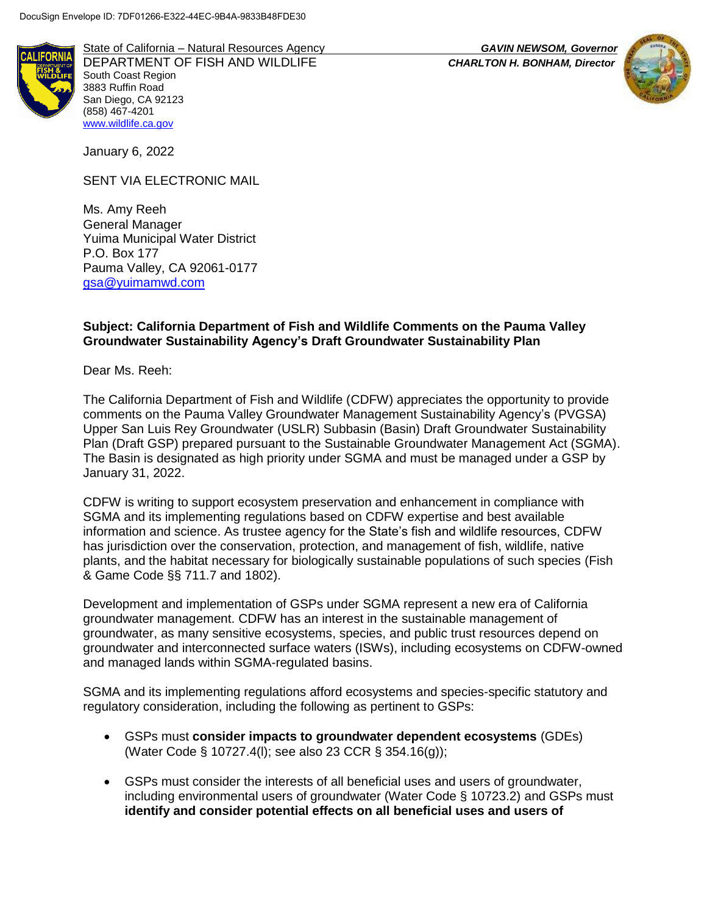

State of California – Natural Resources Agency *GAVIN NEWSOM, Governor* DEPARTMENT OF FISH AND WILDLIFE *CHARLTON H. BONHAM, Director* South Coast Region 3883 Ruffin Road San Diego, CA 92123 (858) 467-4201 [www.wildlife.ca.gov](http://www.cdfw.ca.gov/)

January 6, 2022

SENT VIA ELECTRONIC MAIL

Ms. Amy Reeh General Manager Yuima Municipal Water District P.O. Box 177 Pauma Valley, CA 92061-0177 [gsa@yuimamwd.com](mailto:gsa@yuimamwd.com)

## **Subject: California Department of Fish and Wildlife Comments on the Pauma Valley Groundwater Sustainability Agency's Draft Groundwater Sustainability Plan**

Dear Ms. Reeh:

The California Department of Fish and Wildlife (CDFW) appreciates the opportunity to provide comments on the Pauma Valley Groundwater Management Sustainability Agency's (PVGSA) Upper San Luis Rey Groundwater (USLR) Subbasin (Basin) Draft Groundwater Sustainability Plan (Draft GSP) prepared pursuant to the Sustainable Groundwater Management Act (SGMA). The Basin is designated as high priority under SGMA and must be managed under a GSP by January 31, 2022.

CDFW is writing to support ecosystem preservation and enhancement in compliance with SGMA and its implementing regulations based on CDFW expertise and best available information and science. As trustee agency for the State's fish and wildlife resources, CDFW has jurisdiction over the conservation, protection, and management of fish, wildlife, native plants, and the habitat necessary for biologically sustainable populations of such species (Fish & Game Code §§ 711.7 and 1802).

Development and implementation of GSPs under SGMA represent a new era of California groundwater management. CDFW has an interest in the sustainable management of groundwater, as many sensitive ecosystems, species, and public trust resources depend on groundwater and interconnected surface waters (ISWs), including ecosystems on CDFW-owned and managed lands within SGMA-regulated basins.

SGMA and its implementing regulations afford ecosystems and species-specific statutory and regulatory consideration, including the following as pertinent to GSPs:

- GSPs must **consider impacts to groundwater dependent ecosystems** (GDEs) (Water Code § 10727.4(l); see also 23 CCR § 354.16(g));
- GSPs must consider the interests of all beneficial uses and users of groundwater, including environmental users of groundwater (Water Code § 10723.2) and GSPs must **identify and consider potential effects on all beneficial uses and users of**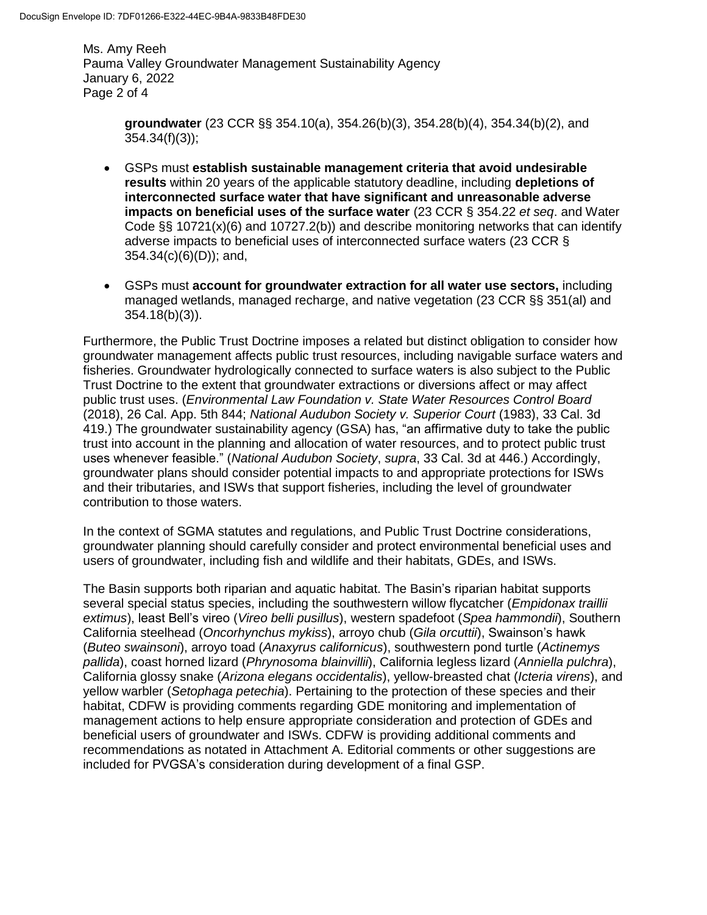Ms. Amy Reeh Pauma Valley Groundwater Management Sustainability Agency January 6, 2022 Page 2 of 4

> **groundwater** (23 CCR §§ 354.10(a), 354.26(b)(3), 354.28(b)(4), 354.34(b)(2), and 354.34(f)(3));

- GSPs must **establish sustainable management criteria that avoid undesirable results** within 20 years of the applicable statutory deadline, including **depletions of interconnected surface water that have significant and unreasonable adverse impacts on beneficial uses of the surface water** (23 CCR § 354.22 *et seq*. and Water Code  $\S$ § 10721(x)(6) and 10727.2(b)) and describe monitoring networks that can identify adverse impacts to beneficial uses of interconnected surface waters (23 CCR § 354.34(c)(6)(D)); and,
- GSPs must **account for groundwater extraction for all water use sectors,** including managed wetlands, managed recharge, and native vegetation (23 CCR §§ 351(al) and 354.18(b)(3)).

Furthermore, the Public Trust Doctrine imposes a related but distinct obligation to consider how groundwater management affects public trust resources, including navigable surface waters and fisheries. Groundwater hydrologically connected to surface waters is also subject to the Public Trust Doctrine to the extent that groundwater extractions or diversions affect or may affect public trust uses. (*Environmental Law Foundation v. State Water Resources Control Board* (2018), 26 Cal. App. 5th 844; *National Audubon Society v. Superior Court* (1983), 33 Cal. 3d 419.) The groundwater sustainability agency (GSA) has, "an affirmative duty to take the public trust into account in the planning and allocation of water resources, and to protect public trust uses whenever feasible." (*National Audubon Society*, *supra*, 33 Cal. 3d at 446.) Accordingly, groundwater plans should consider potential impacts to and appropriate protections for ISWs and their tributaries, and ISWs that support fisheries, including the level of groundwater contribution to those waters.

In the context of SGMA statutes and regulations, and Public Trust Doctrine considerations, groundwater planning should carefully consider and protect environmental beneficial uses and users of groundwater, including fish and wildlife and their habitats, GDEs, and ISWs.

The Basin supports both riparian and aquatic habitat. The Basin's riparian habitat supports several special status species, including the southwestern willow flycatcher (*Empidonax traillii extimus*), least Bell's vireo (*Vireo belli pusillus*), western spadefoot (*Spea hammondii*), Southern California steelhead (*Oncorhynchus mykiss*), arroyo chub (*Gila orcuttii*), Swainson's hawk (*Buteo swainsoni*), arroyo toad (*Anaxyrus californicus*), southwestern pond turtle (*Actinemys pallida*), coast horned lizard (*Phrynosoma blainvillii*), California legless lizard (*Anniella pulchra*), California glossy snake (*Arizona elegans occidentalis*), yellow-breasted chat (*Icteria virens*), and yellow warbler (*Setophaga petechia*). Pertaining to the protection of these species and their habitat, CDFW is providing comments regarding GDE monitoring and implementation of management actions to help ensure appropriate consideration and protection of GDEs and beneficial users of groundwater and ISWs. CDFW is providing additional comments and recommendations as notated in Attachment A. Editorial comments or other suggestions are included for PVGSA's consideration during development of a final GSP.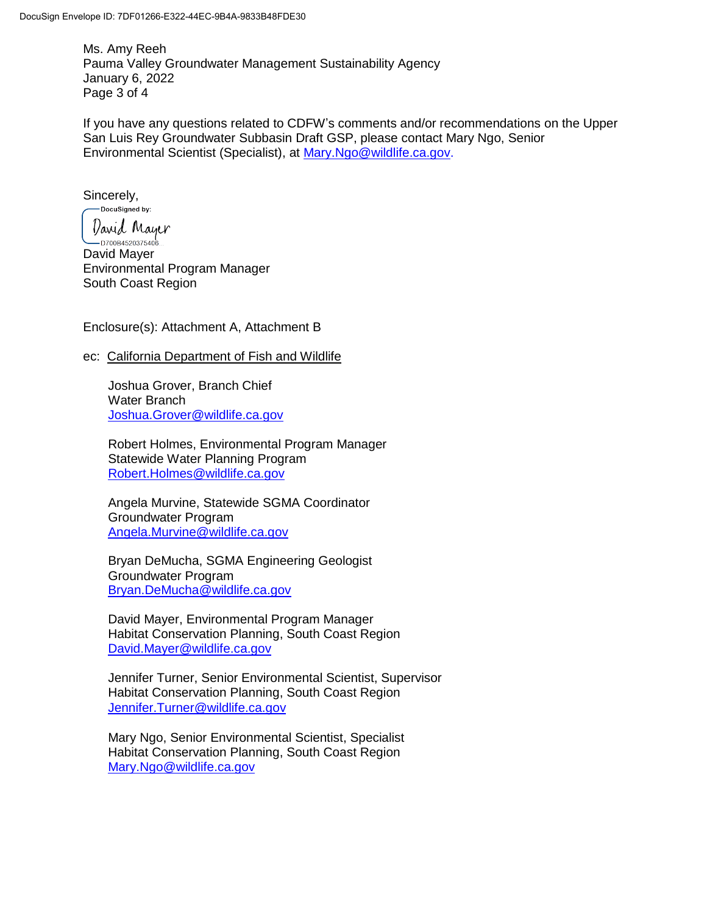Ms. Amy Reeh Pauma Valley Groundwater Management Sustainability Agency January 6, 2022 Page 3 of 4

If you have any questions related to CDFW's comments and/or recommendations on the Upper San Luis Rey Groundwater Subbasin Draft GSP, please contact Mary Ngo, Senior Environmental Scientist (Specialist), at [Mary.Ngo@wildlife.ca.gov.](mailto:Mary.Ngo@wildlife.ca.gov)

Sincerely,<br>
Sincerely,

David Mayer -<br>— D700B4520375406… David Mayer Environmental Program Manager South Coast Region

Enclosure(s): Attachment A, Attachment B

### ec: California Department of Fish and Wildlife

Joshua Grover, Branch Chief Water Branch [Joshua.Grover@wildlife.ca.gov](mailto:Joshua.Grover@wildlife.ca.gov)

Robert Holmes, Environmental Program Manager Statewide Water Planning Program [Robert.Holmes@wildlife.ca.gov](mailto:Robert.Holmes@wildlife.ca.gov)

Angela Murvine, Statewide SGMA Coordinator Groundwater Program [Angela.Murvine@wildlife.ca.gov](mailto:Angela.Murvine@wildlife.ca.gov)

Bryan DeMucha, SGMA Engineering Geologist Groundwater Program [Bryan.DeMucha@wildlife.ca.gov](mailto:Bryan.DeMucha@wildlife.ca.gov)

David Mayer, Environmental Program Manager Habitat Conservation Planning, South Coast Region [David.Mayer@wildlife.ca.gov](mailto:Erinn.Wilson-Olgin@wildlife.ca.gov)

Jennifer Turner, Senior Environmental Scientist, Supervisor Habitat Conservation Planning, South Coast Region [Jennifer.Turner@wildlife.ca.gov](mailto:Steve.Gibson@wildlife.ca.gov)

Mary Ngo, Senior Environmental Scientist, Specialist Habitat Conservation Planning, South Coast Region [Mary.Ngo@wildlife.ca.gov](mailto:Mary.Ngo@wildlife.ca.gov)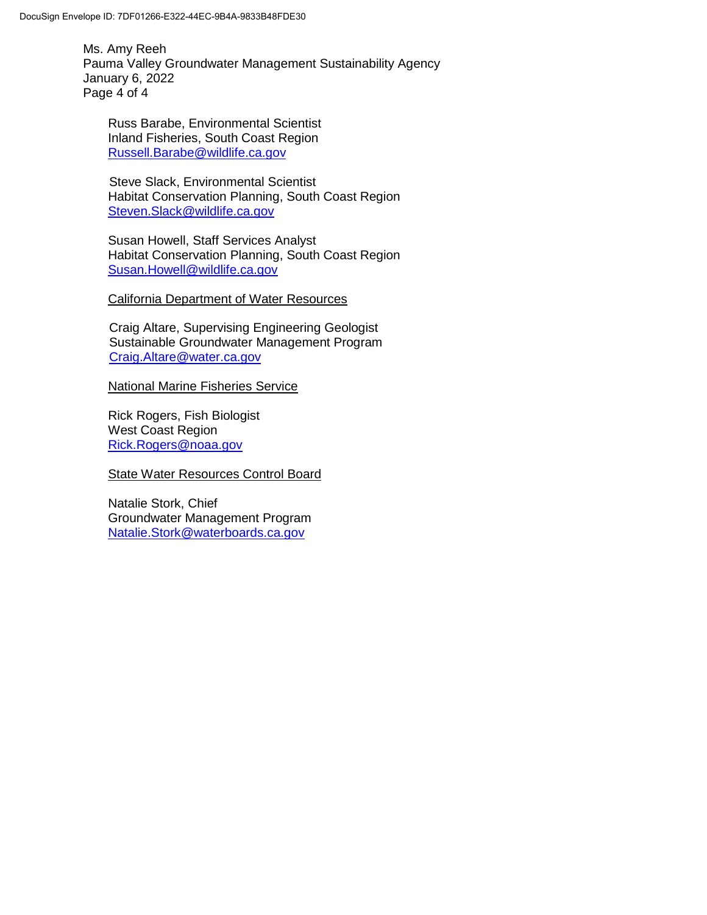Ms. Amy Reeh Pauma Valley Groundwater Management Sustainability Agency January 6, 2022 Page 4 of 4

Russ Barabe, Environmental Scientist Inland Fisheries, South Coast Region [Russell.Barabe@wildlife.ca.gov](mailto:Russell.Barabe@wildlife.ca.gov)

Steve Slack, Environmental Scientist Habitat Conservation Planning, South Coast Region [Steven.Slack@wildlife.ca.gov](mailto:Steven.Slack@wildlife.ca.gov)

Susan Howell, Staff Services Analyst Habitat Conservation Planning, South Coast Region [Susan.Howell@wildlife.ca.gov](mailto:Susan.Howell@wildlife.ca.gov)

California Department of Water Resources

Craig Altare, Supervising Engineering Geologist Sustainable Groundwater Management Program [Craig.Altare@water.ca.gov](mailto:Craig.Altare@water.ca.gov)

National Marine Fisheries Service

Rick Rogers, Fish Biologist West Coast Region [Rick.Rogers@noaa.gov](mailto:Rick.Rogers@noaa.gov)

State Water Resources Control Board

Natalie Stork, Chief Groundwater Management Program [Natalie.Stork@waterboards.ca.gov](mailto:Natalie.Stork@waterboards.ca.gov)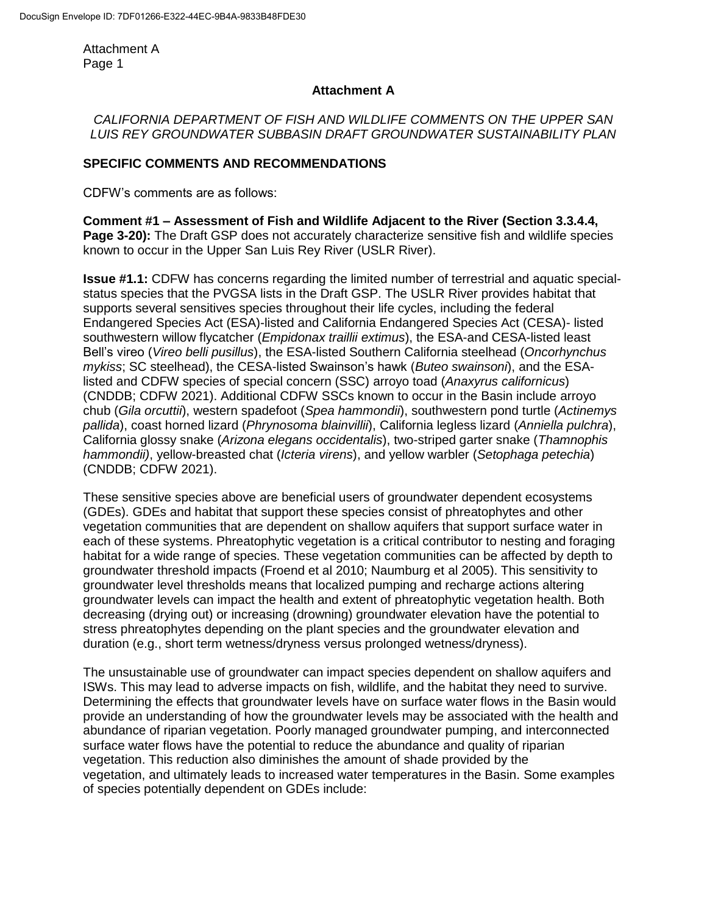## **Attachment A**

# *CALIFORNIA DEPARTMENT OF FISH AND WILDLIFE COMMENTS ON THE UPPER SAN LUIS REY GROUNDWATER SUBBASIN DRAFT GROUNDWATER SUSTAINABILITY PLAN*

## **SPECIFIC COMMENTS AND RECOMMENDATIONS**

CDFW's comments are as follows:

**Comment #1 – Assessment of Fish and Wildlife Adjacent to the River (Section 3.3.4.4, Page 3-20):** The Draft GSP does not accurately characterize sensitive fish and wildlife species known to occur in the Upper San Luis Rey River (USLR River).

**Issue #1.1:** CDFW has concerns regarding the limited number of terrestrial and aquatic specialstatus species that the PVGSA lists in the Draft GSP. The USLR River provides habitat that supports several sensitives species throughout their life cycles, including the federal Endangered Species Act (ESA)-listed and California Endangered Species Act (CESA)- listed southwestern willow flycatcher (*Empidonax traillii extimus*), the ESA-and CESA-listed least Bell's vireo (*Vireo belli pusillus*), the ESA-listed Southern California steelhead (*Oncorhynchus mykiss*; SC steelhead), the CESA-listed Swainson's hawk (*Buteo swainsoni*), and the ESAlisted and CDFW species of special concern (SSC) arroyo toad (*Anaxyrus californicus*) (CNDDB; CDFW 2021). Additional CDFW SSCs known to occur in the Basin include arroyo chub (*Gila orcuttii*), western spadefoot (*Spea hammondii*), southwestern pond turtle (*Actinemys pallida*), coast horned lizard (*Phrynosoma blainvillii*), California legless lizard (*Anniella pulchra*), California glossy snake (*Arizona elegans occidentalis*), two-striped garter snake (*Thamnophis hammondii)*, yellow-breasted chat (*Icteria virens*), and yellow warbler (*Setophaga petechia*) (CNDDB; CDFW 2021).

These sensitive species above are beneficial users of groundwater dependent ecosystems (GDEs). GDEs and habitat that support these species consist of phreatophytes and other vegetation communities that are dependent on shallow aquifers that support surface water in each of these systems. Phreatophytic vegetation is a critical contributor to nesting and foraging habitat for a wide range of species. These vegetation communities can be affected by depth to groundwater threshold impacts (Froend et al 2010; Naumburg et al 2005). This sensitivity to groundwater level thresholds means that localized pumping and recharge actions altering groundwater levels can impact the health and extent of phreatophytic vegetation health. Both decreasing (drying out) or increasing (drowning) groundwater elevation have the potential to stress phreatophytes depending on the plant species and the groundwater elevation and duration (e.g., short term wetness/dryness versus prolonged wetness/dryness).

The unsustainable use of groundwater can impact species dependent on shallow aquifers and ISWs. This may lead to adverse impacts on fish, wildlife, and the habitat they need to survive. Determining the effects that groundwater levels have on surface water flows in the Basin would provide an understanding of how the groundwater levels may be associated with the health and abundance of riparian vegetation. Poorly managed groundwater pumping, and interconnected surface water flows have the potential to reduce the abundance and quality of riparian vegetation. This reduction also diminishes the amount of shade provided by the vegetation, and ultimately leads to increased water temperatures in the Basin. Some examples of species potentially dependent on GDEs include: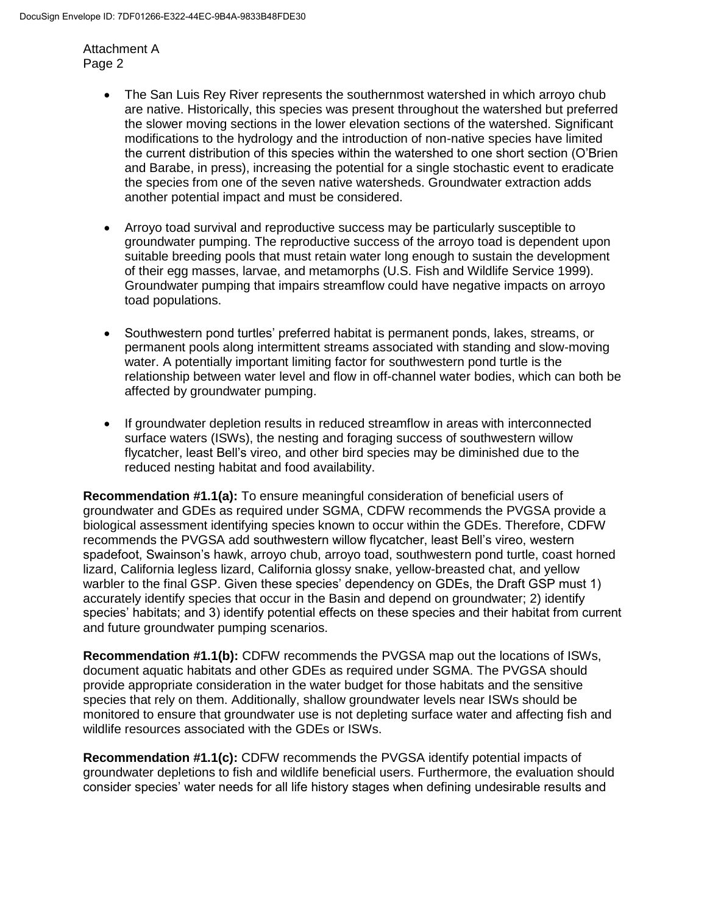- The San Luis Rey River represents the southernmost watershed in which arroyo chub are native. Historically, this species was present throughout the watershed but preferred the slower moving sections in the lower elevation sections of the watershed. Significant modifications to the hydrology and the introduction of non-native species have limited the current distribution of this species within the watershed to one short section (O'Brien and Barabe, in press), increasing the potential for a single stochastic event to eradicate the species from one of the seven native watersheds. Groundwater extraction adds another potential impact and must be considered.
- Arroyo toad survival and reproductive success may be particularly susceptible to groundwater pumping. The reproductive success of the arroyo toad is dependent upon suitable breeding pools that must retain water long enough to sustain the development of their egg masses, larvae, and metamorphs (U.S. Fish and Wildlife Service 1999). Groundwater pumping that impairs streamflow could have negative impacts on arroyo toad populations.
- Southwestern pond turtles' preferred habitat is permanent ponds, lakes, streams, or permanent pools along intermittent streams associated with standing and slow-moving water. A potentially important limiting factor for southwestern pond turtle is the relationship between water level and flow in off-channel water bodies, which can both be affected by groundwater pumping.
- If groundwater depletion results in reduced streamflow in areas with interconnected surface waters (ISWs), the nesting and foraging success of southwestern willow flycatcher, least Bell's vireo, and other bird species may be diminished due to the reduced nesting habitat and food availability.

**Recommendation #1.1(a):** To ensure meaningful consideration of beneficial users of groundwater and GDEs as required under SGMA, CDFW recommends the PVGSA provide a biological assessment identifying species known to occur within the GDEs. Therefore, CDFW recommends the PVGSA add southwestern willow flycatcher, least Bell's vireo, western spadefoot, Swainson's hawk, arroyo chub, arroyo toad, southwestern pond turtle, coast horned lizard, California legless lizard, California glossy snake, yellow-breasted chat, and yellow warbler to the final GSP. Given these species' dependency on GDEs, the Draft GSP must 1) accurately identify species that occur in the Basin and depend on groundwater; 2) identify species' habitats; and 3) identify potential effects on these species and their habitat from current and future groundwater pumping scenarios.

**Recommendation #1.1(b):** CDFW recommends the PVGSA map out the locations of ISWs, document aquatic habitats and other GDEs as required under SGMA. The PVGSA should provide appropriate consideration in the water budget for those habitats and the sensitive species that rely on them. Additionally, shallow groundwater levels near ISWs should be monitored to ensure that groundwater use is not depleting surface water and affecting fish and wildlife resources associated with the GDEs or ISWs.

**Recommendation #1.1(c):** CDFW recommends the PVGSA identify potential impacts of groundwater depletions to fish and wildlife beneficial users. Furthermore, the evaluation should consider species' water needs for all life history stages when defining undesirable results and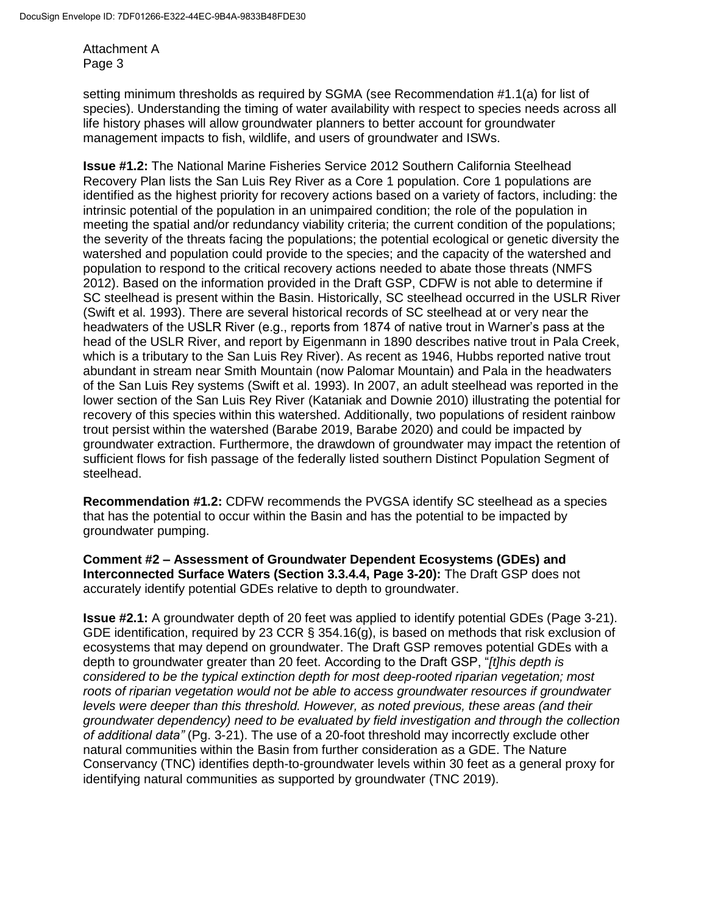setting minimum thresholds as required by SGMA (see Recommendation #1.1(a) for list of species). Understanding the timing of water availability with respect to species needs across all life history phases will allow groundwater planners to better account for groundwater management impacts to fish, wildlife, and users of groundwater and ISWs.

**Issue #1.2:** The National Marine Fisheries Service 2012 Southern California Steelhead Recovery Plan lists the San Luis Rey River as a Core 1 population. Core 1 populations are identified as the highest priority for recovery actions based on a variety of factors, including: the intrinsic potential of the population in an unimpaired condition; the role of the population in meeting the spatial and/or redundancy viability criteria; the current condition of the populations; the severity of the threats facing the populations; the potential ecological or genetic diversity the watershed and population could provide to the species; and the capacity of the watershed and population to respond to the critical recovery actions needed to abate those threats (NMFS 2012). Based on the information provided in the Draft GSP, CDFW is not able to determine if SC steelhead is present within the Basin. Historically, SC steelhead occurred in the USLR River (Swift et al. 1993). There are several historical records of SC steelhead at or very near the headwaters of the USLR River (e.g., reports from 1874 of native trout in Warner's pass at the head of the USLR River, and report by Eigenmann in 1890 describes native trout in Pala Creek, which is a tributary to the San Luis Rey River). As recent as 1946, Hubbs reported native trout abundant in stream near Smith Mountain (now Palomar Mountain) and Pala in the headwaters of the San Luis Rey systems (Swift et al. 1993). In 2007, an adult steelhead was reported in the lower section of the San Luis Rey River (Kataniak and Downie 2010) illustrating the potential for recovery of this species within this watershed. Additionally, two populations of resident rainbow trout persist within the watershed (Barabe 2019, Barabe 2020) and could be impacted by groundwater extraction. Furthermore, the drawdown of groundwater may impact the retention of sufficient flows for fish passage of the federally listed southern Distinct Population Segment of steelhead.

**Recommendation #1.2:** CDFW recommends the PVGSA identify SC steelhead as a species that has the potential to occur within the Basin and has the potential to be impacted by groundwater pumping.

**Comment #2 – Assessment of Groundwater Dependent Ecosystems (GDEs) and Interconnected Surface Waters (Section 3.3.4.4, Page 3-20):** The Draft GSP does not accurately identify potential GDEs relative to depth to groundwater.

**Issue #2.1:** A groundwater depth of 20 feet was applied to identify potential GDEs (Page 3-21). GDE identification, required by 23 CCR § 354.16(g), is based on methods that risk exclusion of ecosystems that may depend on groundwater. The Draft GSP removes potential GDEs with a depth to groundwater greater than 20 feet. According to the Draft GSP, "*[t]his depth is considered to be the typical extinction depth for most deep-rooted riparian vegetation; most roots of riparian vegetation would not be able to access groundwater resources if groundwater levels were deeper than this threshold. However, as noted previous, these areas (and their groundwater dependency) need to be evaluated by field investigation and through the collection of additional data"* (Pg. 3-21). The use of a 20-foot threshold may incorrectly exclude other natural communities within the Basin from further consideration as a GDE. The Nature Conservancy (TNC) identifies depth-to-groundwater levels within 30 feet as a general proxy for identifying natural communities as supported by groundwater (TNC 2019).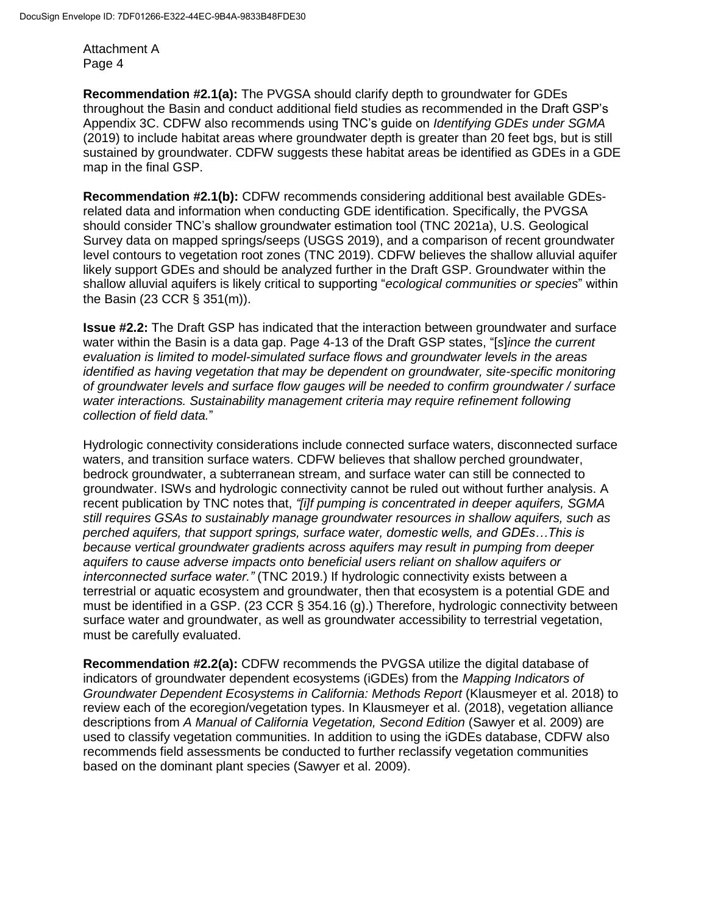**Recommendation #2.1(a):** The PVGSA should clarify depth to groundwater for GDEs throughout the Basin and conduct additional field studies as recommended in the Draft GSP's Appendix 3C. CDFW also recommends using TNC's guide on *Identifying GDEs under SGMA*  (2019) to include habitat areas where groundwater depth is greater than 20 feet bgs, but is still sustained by groundwater. CDFW suggests these habitat areas be identified as GDEs in a GDE map in the final GSP.

**Recommendation #2.1(b):** CDFW recommends considering additional best available GDEsrelated data and information when conducting GDE identification. Specifically, the PVGSA should consider TNC's shallow groundwater estimation tool (TNC 2021a), U.S. Geological Survey data on mapped springs/seeps (USGS 2019), and a comparison of recent groundwater level contours to vegetation root zones (TNC 2019). CDFW believes the shallow alluvial aquifer likely support GDEs and should be analyzed further in the Draft GSP. Groundwater within the shallow alluvial aquifers is likely critical to supporting "*ecological communities or species*" within the Basin (23 CCR § 351(m)).

**Issue #2.2:** The Draft GSP has indicated that the interaction between groundwater and surface water within the Basin is a data gap. Page 4-13 of the Draft GSP states, "[*s*]*ince the current evaluation is limited to model-simulated surface flows and groundwater levels in the areas identified as having vegetation that may be dependent on groundwater, site-specific monitoring of groundwater levels and surface flow gauges will be needed to confirm groundwater / surface water interactions. Sustainability management criteria may require refinement following collection of field data.*"

Hydrologic connectivity considerations include connected surface waters, disconnected surface waters, and transition surface waters. CDFW believes that shallow perched groundwater, bedrock groundwater, a subterranean stream, and surface water can still be connected to groundwater. ISWs and hydrologic connectivity cannot be ruled out without further analysis. A recent publication by TNC notes that, *"[i]f pumping is concentrated in deeper aquifers, SGMA still requires GSAs to sustainably manage groundwater resources in shallow aquifers, such as perched aquifers, that support springs, surface water, domestic wells, and GDEs…This is because vertical groundwater gradients across aquifers may result in pumping from deeper aquifers to cause adverse impacts onto beneficial users reliant on shallow aquifers or interconnected surface water."* (TNC 2019.) If hydrologic connectivity exists between a terrestrial or aquatic ecosystem and groundwater, then that ecosystem is a potential GDE and must be identified in a GSP. (23 CCR § 354.16 (g).) Therefore, hydrologic connectivity between surface water and groundwater, as well as groundwater accessibility to terrestrial vegetation, must be carefully evaluated.

**Recommendation #2.2(a):** CDFW recommends the PVGSA utilize the digital database of indicators of groundwater dependent ecosystems (iGDEs) from the *Mapping Indicators of Groundwater Dependent Ecosystems in California: Methods Report* (Klausmeyer et al. 2018) to review each of the ecoregion/vegetation types. In Klausmeyer et al. (2018), vegetation alliance descriptions from *A Manual of California Vegetation, Second Edition* (Sawyer et al. 2009) are used to classify vegetation communities. In addition to using the iGDEs database, CDFW also recommends field assessments be conducted to further reclassify vegetation communities based on the dominant plant species (Sawyer et al. 2009).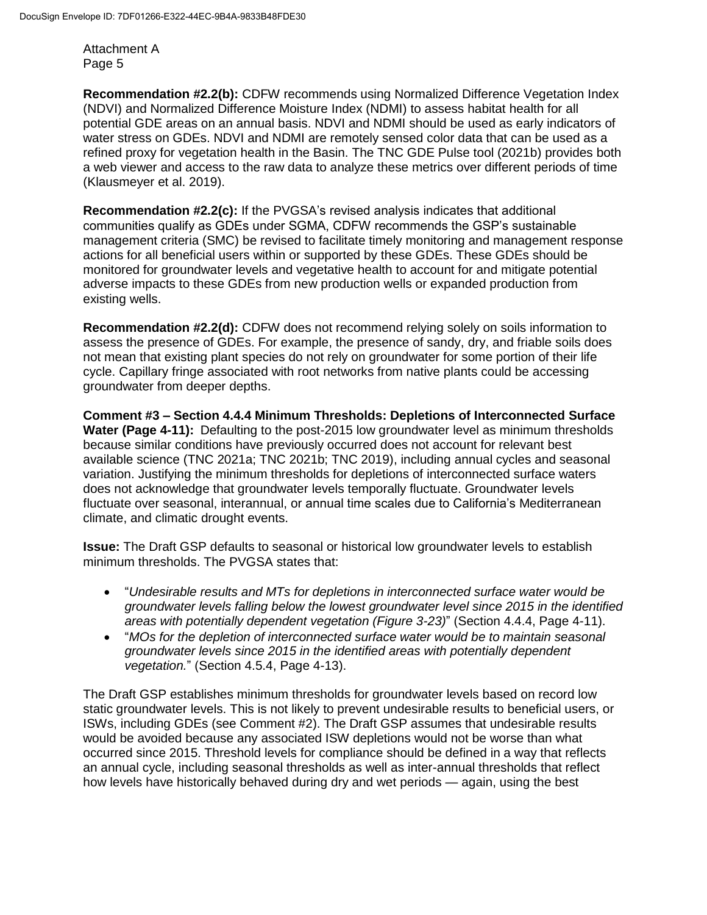**Recommendation #2.2(b):** CDFW recommends using Normalized Difference Vegetation Index (NDVI) and Normalized Difference Moisture Index (NDMI) to assess habitat health for all potential GDE areas on an annual basis. NDVI and NDMI should be used as early indicators of water stress on GDEs. NDVI and NDMI are remotely sensed color data that can be used as a refined proxy for vegetation health in the Basin. The TNC GDE Pulse tool (2021b) provides both a web viewer and access to the raw data to analyze these metrics over different periods of time (Klausmeyer et al. 2019).

**Recommendation #2.2(c):** If the PVGSA's revised analysis indicates that additional communities qualify as GDEs under SGMA, CDFW recommends the GSP's sustainable management criteria (SMC) be revised to facilitate timely monitoring and management response actions for all beneficial users within or supported by these GDEs. These GDEs should be monitored for groundwater levels and vegetative health to account for and mitigate potential adverse impacts to these GDEs from new production wells or expanded production from existing wells.

**Recommendation #2.2(d):** CDFW does not recommend relying solely on soils information to assess the presence of GDEs. For example, the presence of sandy, dry, and friable soils does not mean that existing plant species do not rely on groundwater for some portion of their life cycle. Capillary fringe associated with root networks from native plants could be accessing groundwater from deeper depths.

**Comment #3 – Section 4.4.4 Minimum Thresholds: Depletions of Interconnected Surface Water (Page 4-11):** Defaulting to the post-2015 low groundwater level as minimum thresholds because similar conditions have previously occurred does not account for relevant best available science (TNC 2021a; TNC 2021b; TNC 2019), including annual cycles and seasonal variation. Justifying the minimum thresholds for depletions of interconnected surface waters does not acknowledge that groundwater levels temporally fluctuate. Groundwater levels fluctuate over seasonal, interannual, or annual time scales due to California's Mediterranean climate, and climatic drought events.

**Issue:** The Draft GSP defaults to seasonal or historical low groundwater levels to establish minimum thresholds. The PVGSA states that:

- "*Undesirable results and MTs for depletions in interconnected surface water would be groundwater levels falling below the lowest groundwater level since 2015 in the identified areas with potentially dependent vegetation (Figure 3-23)*" (Section 4.4.4, Page 4-11).
- "*MOs for the depletion of interconnected surface water would be to maintain seasonal groundwater levels since 2015 in the identified areas with potentially dependent vegetation.*" (Section 4.5.4, Page 4-13).

The Draft GSP establishes minimum thresholds for groundwater levels based on record low static groundwater levels. This is not likely to prevent undesirable results to beneficial users, or ISWs, including GDEs (see Comment #2). The Draft GSP assumes that undesirable results would be avoided because any associated ISW depletions would not be worse than what occurred since 2015. Threshold levels for compliance should be defined in a way that reflects an annual cycle, including seasonal thresholds as well as inter-annual thresholds that reflect how levels have historically behaved during dry and wet periods — again, using the best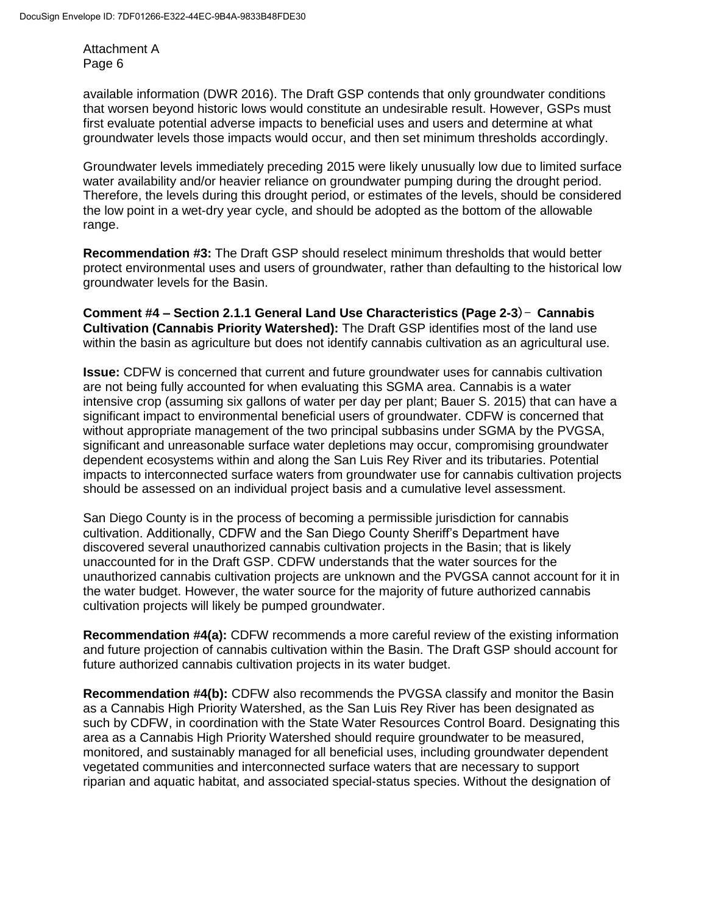available information (DWR 2016). The Draft GSP contends that only groundwater conditions that worsen beyond historic lows would constitute an undesirable result. However, GSPs must first evaluate potential adverse impacts to beneficial uses and users and determine at what groundwater levels those impacts would occur, and then set minimum thresholds accordingly.

Groundwater levels immediately preceding 2015 were likely unusually low due to limited surface water availability and/or heavier reliance on groundwater pumping during the drought period. Therefore, the levels during this drought period, or estimates of the levels, should be considered the low point in a wet-dry year cycle, and should be adopted as the bottom of the allowable range.

**Recommendation #3:** The Draft GSP should reselect minimum thresholds that would better protect environmental uses and users of groundwater, rather than defaulting to the historical low groundwater levels for the Basin.

**Comment #4 – Section 2.1.1 General Land Use Characteristics (Page 2-3**)- **Cannabis Cultivation (Cannabis Priority Watershed):** The Draft GSP identifies most of the land use within the basin as agriculture but does not identify cannabis cultivation as an agricultural use.

**Issue:** CDFW is concerned that current and future groundwater uses for cannabis cultivation are not being fully accounted for when evaluating this SGMA area. Cannabis is a water intensive crop (assuming six gallons of water per day per plant; Bauer S. 2015) that can have a significant impact to environmental beneficial users of groundwater. CDFW is concerned that without appropriate management of the two principal subbasins under SGMA by the PVGSA, significant and unreasonable surface water depletions may occur, compromising groundwater dependent ecosystems within and along the San Luis Rey River and its tributaries. Potential impacts to interconnected surface waters from groundwater use for cannabis cultivation projects should be assessed on an individual project basis and a cumulative level assessment.

San Diego County is in the process of becoming a permissible jurisdiction for cannabis cultivation. Additionally, CDFW and the San Diego County Sheriff's Department have discovered several unauthorized cannabis cultivation projects in the Basin; that is likely unaccounted for in the Draft GSP. CDFW understands that the water sources for the unauthorized cannabis cultivation projects are unknown and the PVGSA cannot account for it in the water budget. However, the water source for the majority of future authorized cannabis cultivation projects will likely be pumped groundwater.

**Recommendation #4(a):** CDFW recommends a more careful review of the existing information and future projection of cannabis cultivation within the Basin. The Draft GSP should account for future authorized cannabis cultivation projects in its water budget.

**Recommendation #4(b):** CDFW also recommends the PVGSA classify and monitor the Basin as a Cannabis High Priority Watershed, as the San Luis Rey River has been designated as such by CDFW, in coordination with the State Water Resources Control Board. Designating this area as a Cannabis High Priority Watershed should require groundwater to be measured, monitored, and sustainably managed for all beneficial uses, including groundwater dependent vegetated communities and interconnected surface waters that are necessary to support riparian and aquatic habitat, and associated special-status species. Without the designation of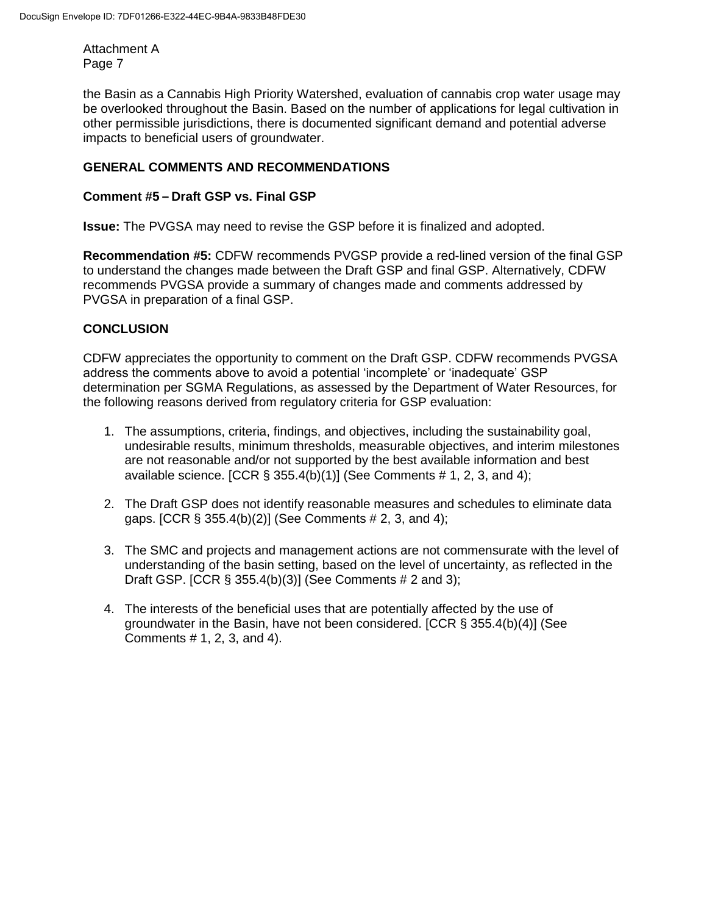the Basin as a Cannabis High Priority Watershed, evaluation of cannabis crop water usage may be overlooked throughout the Basin. Based on the number of applications for legal cultivation in other permissible jurisdictions, there is documented significant demand and potential adverse impacts to beneficial users of groundwater.

# **GENERAL COMMENTS AND RECOMMENDATIONS**

## **Comment #5 – Draft GSP vs. Final GSP**

**Issue:** The PVGSA may need to revise the GSP before it is finalized and adopted.

**Recommendation #5:** CDFW recommends PVGSP provide a red-lined version of the final GSP to understand the changes made between the Draft GSP and final GSP. Alternatively, CDFW recommends PVGSA provide a summary of changes made and comments addressed by PVGSA in preparation of a final GSP.

### **CONCLUSION**

CDFW appreciates the opportunity to comment on the Draft GSP. CDFW recommends PVGSA address the comments above to avoid a potential 'incomplete' or 'inadequate' GSP determination per SGMA Regulations, as assessed by the Department of Water Resources, for the following reasons derived from regulatory criteria for GSP evaluation:

- 1. The assumptions, criteria, findings, and objectives, including the sustainability goal, undesirable results, minimum thresholds, measurable objectives, and interim milestones are not reasonable and/or not supported by the best available information and best available science.  $[CCR \& 355.4(b)(1)]$  (See Comments # 1, 2, 3, and 4);
- 2. The Draft GSP does not identify reasonable measures and schedules to eliminate data gaps. [CCR § 355.4(b)(2)] (See Comments # 2, 3, and 4);
- 3. The SMC and projects and management actions are not commensurate with the level of understanding of the basin setting, based on the level of uncertainty, as reflected in the Draft GSP. [CCR § 355.4(b)(3)] (See Comments # 2 and 3);
- 4. The interests of the beneficial uses that are potentially affected by the use of groundwater in the Basin, have not been considered. [CCR § 355.4(b)(4)] (See Comments # 1, 2, 3, and 4).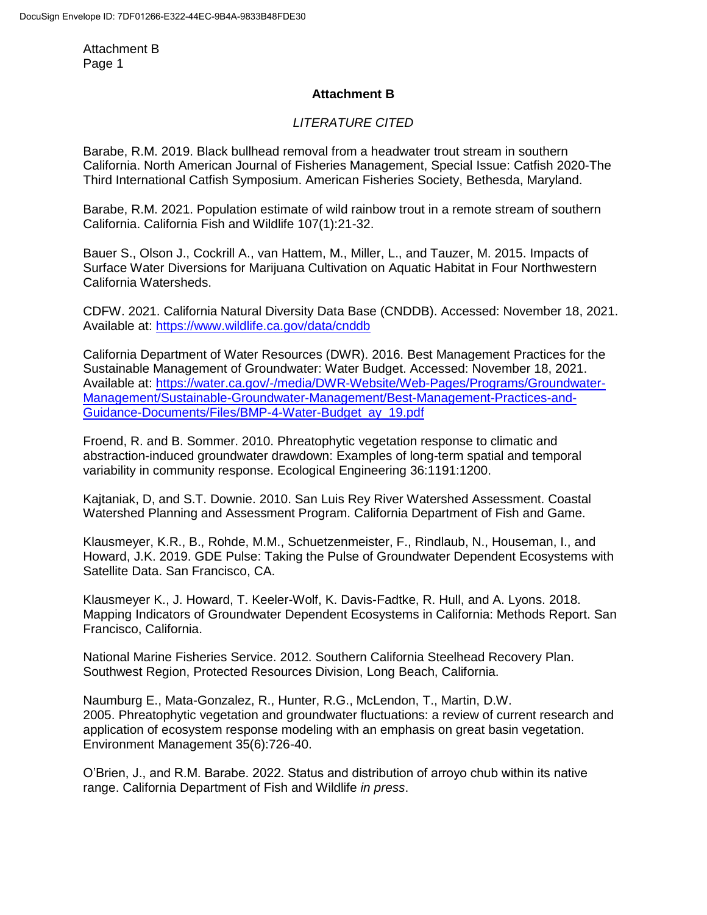## **Attachment B**

## *LITERATURE CITED*

Barabe, R.M. 2019. Black bullhead removal from a headwater trout stream in southern California. North American Journal of Fisheries Management, Special Issue: Catfish 2020-The Third International Catfish Symposium. American Fisheries Society, Bethesda, Maryland.

Barabe, R.M. 2021. Population estimate of wild rainbow trout in a remote stream of southern California. California Fish and Wildlife 107(1):21-32.

Bauer S., Olson J., Cockrill A., van Hattem, M., Miller, L., and Tauzer, M. 2015. Impacts of Surface Water Diversions for Marijuana Cultivation on Aquatic Habitat in Four Northwestern California Watersheds.

CDFW. 2021. California Natural Diversity Data Base (CNDDB). Accessed: November 18, 2021. Available at:<https://www.wildlife.ca.gov/data/cnddb>

California Department of Water Resources (DWR). 2016. Best Management Practices for the Sustainable Management of Groundwater: Water Budget. Accessed: November 18, 2021. Available at: [https://water.ca.gov/-/media/DWR-Website/Web-Pages/Programs/Groundwater-](https://water.ca.gov/-/media/DWR-Website/Web-Pages/Programs/Groundwater-Management/Sustainable-Groundwater-Management/Best-Management-Practices-and-Guidance-Documents/Files/BMP-4-Water-Budget_ay_19.pdf)[Management/Sustainable-Groundwater-Management/Best-Management-Practices-and-](https://water.ca.gov/-/media/DWR-Website/Web-Pages/Programs/Groundwater-Management/Sustainable-Groundwater-Management/Best-Management-Practices-and-Guidance-Documents/Files/BMP-4-Water-Budget_ay_19.pdf)[Guidance-Documents/Files/BMP-4-Water-Budget\\_ay\\_19.pdf](https://water.ca.gov/-/media/DWR-Website/Web-Pages/Programs/Groundwater-Management/Sustainable-Groundwater-Management/Best-Management-Practices-and-Guidance-Documents/Files/BMP-4-Water-Budget_ay_19.pdf)

Froend, R. and B. Sommer. 2010. Phreatophytic vegetation response to climatic and abstraction-induced groundwater drawdown: Examples of long-term spatial and temporal variability in community response. Ecological Engineering 36:1191:1200.

Kajtaniak, D, and S.T. Downie. 2010. San Luis Rey River Watershed Assessment. Coastal Watershed Planning and Assessment Program. California Department of Fish and Game.

Klausmeyer, K.R., B., Rohde, M.M., Schuetzenmeister, F., Rindlaub, N., Houseman, I., and Howard, J.K. 2019. GDE Pulse: Taking the Pulse of Groundwater Dependent Ecosystems with Satellite Data. San Francisco, CA.

Klausmeyer K., J. Howard, T. Keeler-Wolf, K. Davis-Fadtke, R. Hull, and A. Lyons. 2018. Mapping Indicators of Groundwater Dependent Ecosystems in California: Methods Report. San Francisco, California.

National Marine Fisheries Service. 2012. Southern California Steelhead Recovery Plan. Southwest Region, Protected Resources Division, Long Beach, California.

Naumburg E., Mata-Gonzalez, R., Hunter, R.G., McLendon, T., Martin, D.W. 2005. Phreatophytic vegetation and groundwater fluctuations: a review of current research and application of ecosystem response modeling with an emphasis on great basin vegetation. Environment Management 35(6):726-40.

O'Brien, J., and R.M. Barabe. 2022. Status and distribution of arroyo chub within its native range. California Department of Fish and Wildlife *in press*.